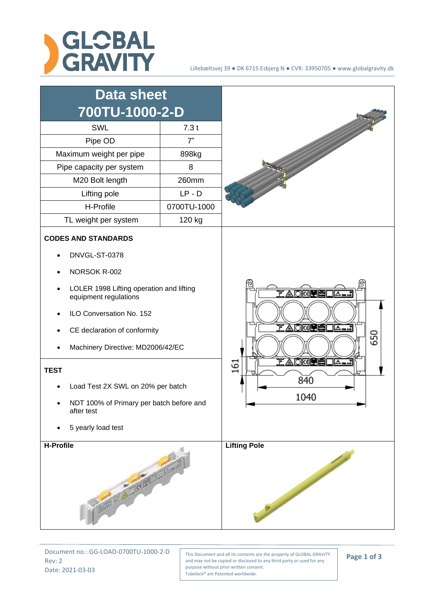



Document no.: GG-LOAD-0700TU-1000-2-D Rev: 2 Date: 2021-03-03

This Document and all its contents are the property of GLOBAL GRAVITY and may not be copied or disclosed to any third party or used for any purpose without prior written consent. Tubelock® are Patented worldwide.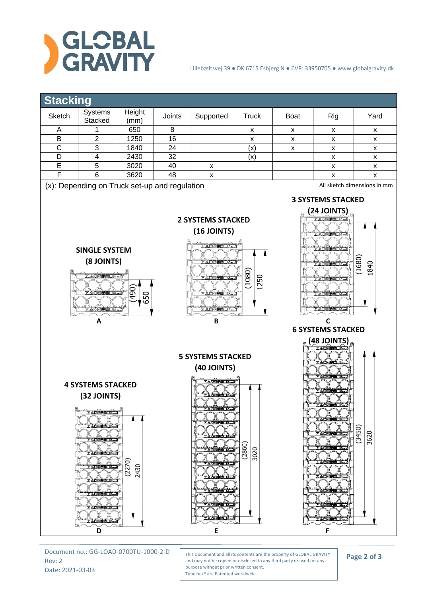



Document no.: GG-LOAD-0700TU-1000-2-D Rev: 2 Date: 2021-03-03

This Document and all its contents are the property of GLOBAL GRAVITY and may not be copied or disclosed to any third party or used for any purpose without prior written consent. Tubelock® are Patented worldwide.

**Page 2 of 3**